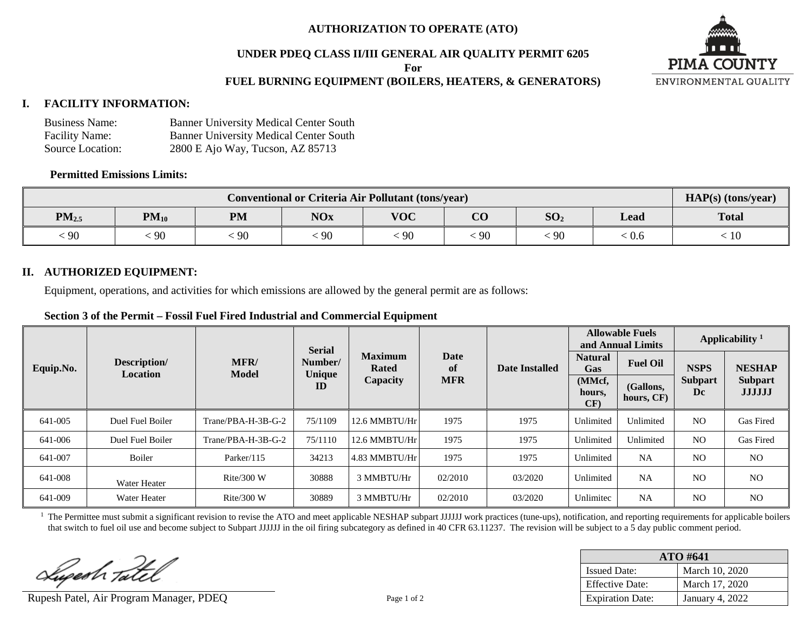## **AUTHORIZATION TO OPERATE (ATO)**

## **UNDER PDEQ CLASS II/III GENERAL AIR QUALITY PERMIT 6205**

**For**

## **FUEL BURNING EQUIPMENT (BOILERS, HEATERS, & GENERATORS)**



| <b>Business Name:</b> | <b>Banner University Medical Center South</b> |
|-----------------------|-----------------------------------------------|
| <b>Facility Name:</b> | <b>Banner University Medical Center South</b> |
| Source Location:      | 2800 E Ajo Way, Tucson, AZ 85713              |

#### **Permitted Emissions Limits:**

| <b>Conventional or Criteria Air Pollutant (tons/year)</b> |           |           |            |            |                |                 | HAP(s) (tons/year) |              |
|-----------------------------------------------------------|-----------|-----------|------------|------------|----------------|-----------------|--------------------|--------------|
| $PM_{2.5}$                                                | $PM_{10}$ | <b>PM</b> | <b>NOx</b> | <b>VOC</b> | $\Omega$<br>UU | SO <sub>2</sub> | Lead               | <b>Total</b> |
| $\frac{1}{2}$ 90                                          | 90        | -90       | 90         | 90         | -90            | 90              | . V.O              | TÛ           |

#### **II. AUTHORIZED EQUIPMENT:**

Equipment, operations, and activities for which emissions are allowed by the general permit are as follows:

| Section 3 of the Permit – Fossil Fuel Fired Industrial and Commercial Equipment |
|---------------------------------------------------------------------------------|
|---------------------------------------------------------------------------------|

|           | Description/<br><b>Location</b> | MFR/<br>Model      | <b>Serial</b><br>Number/ | <b>Maximum</b><br>Rated | <b>Date</b><br>-of<br><b>MFR</b> | <b>Date Installed</b> | <b>Allowable Fuels</b><br>and Annual Limits |                         | Applicability $1$    |                                 |
|-----------|---------------------------------|--------------------|--------------------------|-------------------------|----------------------------------|-----------------------|---------------------------------------------|-------------------------|----------------------|---------------------------------|
| Equip.No. |                                 |                    |                          |                         |                                  |                       | <b>Natural</b><br>Gas                       | <b>Fuel Oil</b>         | <b>NSPS</b>          | <b>NESHAP</b>                   |
|           |                                 |                    | Unique<br>ID             | Capacity                |                                  |                       | (MMcf,<br>hours,<br>CF)                     | (Gallons,<br>hours, CF) | <b>Subpart</b><br>Dc | <b>Subpart</b><br><b>JJJJJJ</b> |
| 641-005   | Duel Fuel Boiler                | Trane/PBA-H-3B-G-2 | 75/1109                  | $12.6$ MMBTU/Hr         | 1975                             | 1975                  | Unlimited                                   | Unlimited               | N <sub>O</sub>       | Gas Fired                       |
| 641-006   | Duel Fuel Boiler                | Trane/PBA-H-3B-G-2 | 75/1110                  | 12.6 MMBTU/Hr           | 1975                             | 1975                  | Unlimited                                   | Unlimited               | N <sub>O</sub>       | Gas Fired                       |
| 641-007   | Boiler                          | Parker/ $115$      | 34213                    | $4.83$ MMBTU/Hr         | 1975                             | 1975                  | Unlimited                                   | NA                      | N <sub>O</sub>       | N <sub>O</sub>                  |
| 641-008   | Water Heater                    | Rite/300 W         | 30888                    | 3 MMBTU/Hr              | 02/2010                          | 03/2020               | Unlimited                                   | <b>NA</b>               | N <sub>O</sub>       | N <sub>O</sub>                  |
| 641-009   | Water Heater                    | Rite/300 W         | 30889                    | 3 MMBTU/Hr              | 02/2010                          | 03/2020               | Unlimitec                                   | <b>NA</b>               | N <sub>O</sub>       | N <sub>O</sub>                  |

<sup>1</sup> The Permittee must submit a significant revision to revise the ATO and meet applicable NESHAP subpart JJJJJJ work practices (tune-ups), notification, and reporting requirements for applicable boilers that switch to fuel oil use and become subject to Subpart JJJJJJ in the oil firing subcategory as defined in 40 CFR 63.11237. The revision will be subject to a 5 day public comment period.

Superh Tatel

Rupesh Patel, Air Program Manager, PDEQ Page 1 of 2

| $ATO$ #641              |                 |  |  |  |
|-------------------------|-----------------|--|--|--|
| <b>Issued Date:</b>     | March 10, 2020  |  |  |  |
| <b>Effective Date:</b>  | March 17, 2020  |  |  |  |
| <b>Expiration Date:</b> | January 4, 2022 |  |  |  |

**PIMA COUNTY** ENVIRONMENTAL QUALITY